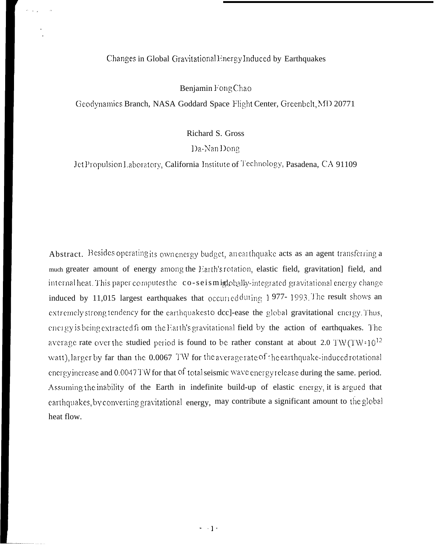### Changes in Global Gravitational Energy Induced by Earthquakes

Benjamin Fong Chao

Geodynamics Branch, NASA Goddard Space Flight Center, Greenbelt, MD 20771

Richard S. Gross

Da-Nan Dong

Jet Propulsion Laboratory, California Institute of Technology, Pasadena, CA 91109

Abstract. Besides operating its own energy budget, an earthquake acts as an agent transferring a much greater amount of energy among the Earth's rotation, elastic field, gravitation] field, and internal heat. This paper computes the co-seismiglobally-integrated gravitational energy change induced by 11,015 largest earthquakes that occurred during 1977-1993. The result shows an extremely strong tendency for the earthquakesto dcc]-ease the global gravitational energy. Thus, energy is being extracted from the Earth's gravitational field by the action of earthquakes. The average rate over the studied period is found to be rather constant at about 2.0 TW(TW=10<sup>12</sup> watt), larger by far than the 0.0067 TW for the averagerate of the earthquake-induced rotational energy increase and 0.0047TW for that of total seismic wave energy release during the same, period. Assuming the inability of the Earth in indefinite build-up of elastic energy, it is argued that earthquakes, by converting gravitational energy, may contribute a significant amount to the global heat flow.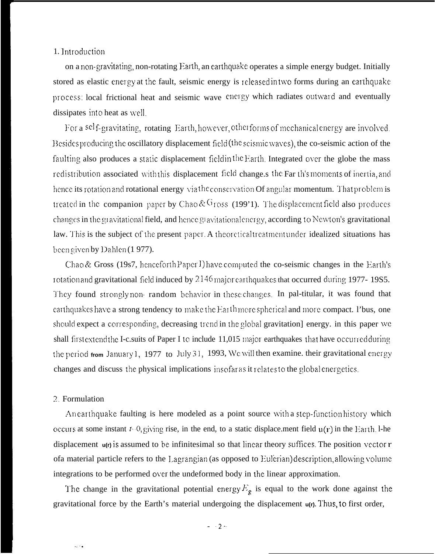## 1. Introduction

on a non-gravitating, non-rotating Earth, an earthquake operates a simple energy budget. Initially stored as elastic energy at the fault, seismic energy is released in two forms during an earthquake process: local frictional heat and seismic wave energy which radiates outward and eventually dissipates into heat as well.

For a self-gravitating, rotating Earth, however, otherforms of mechanical energy are involved. Besides producing the oscillatory displacement field (the seismic waves), the co-seismic action of the faulting also produces a static displacement field in the Earth. Integrated over the globe the mass redistribution associated with this displacement field change, s the Far th's moments of inertia, and hence its rotation and rotational energy via the conservation Of angular momentum. That problem is treated in the companion paper by Chao &  $G$ ross (199'1). The displacement field also produces changes in the gravitational field, and hence gravitational energy, according to Newton's gravitational law. This is the subject of the present paper. A theoretical treatment under idealized situations has been given by Dahlen (1977).

Chao & Gross (19s7, henceforth Paper I) have computed the co-seismic changes in the Earth's rotation and gravitational field induced by 2146 major carthquakes that occurred during 1977-1985. They found strongly non-random behavior in these changes. In pal-titular, it was found that earthquakes have a strong tendency to make the Earthmore spherical and more compact. I'bus, one should expect a corresponding, decreasing trend in the global gravitation] energy. in this paper we shall first extend the I-c suits of Paper I to include 11,015 major earthquakes that have occurred during the period from January 1, 1977 to July 31, 1993, We will then examine, their gravitational energy changes and discuss the physical implications insofar as it relates to the global energetics.

#### 2 Formulation

 $\sim$ 

An earthquake faulting is here modeled as a point source with a step-function history which occurs at some instant  $t$ -0, giving rise, in the end, to a static displace ment field  $u(r)$  in the Earth. 1-he displacement  $u(r)$  is assumed to be infinitesimal so that linear theory suffices. The position vector  $r$ ofa material particle refers to the Lagrangian (as opposed to Eulerian) description, allowing volume integrations to be performed over the undeformed body in the linear approximation.

The change in the gravitational potential energy  $E_g$  is equal to the work done against the gravitational force by the Earth's material undergoing the displacement u(r). Thus, to first order,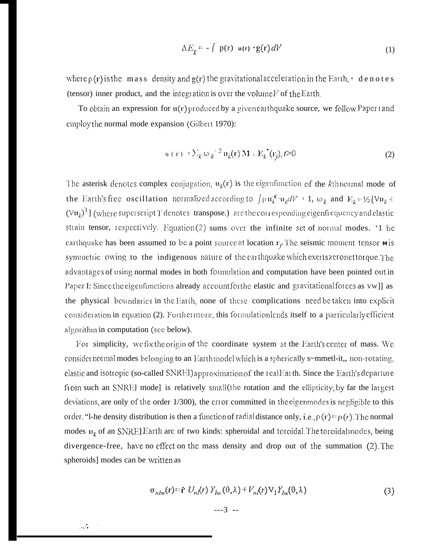$$
\Delta E_g = -\int p(r) u(r) \cdot g(r) dV \tag{1}
$$

where  $\rho(r)$  is the mass density and  $g(r)$  the gravitational acceleration in the Earth,  $\cdot$  denotes (tensor) inner product, and the integration is over the volume  $V$  of the Earth.

To obtain an expression for  $u(r)$  produced by a given carthquake source, we follow Paper rand employ the normal mode expansion (Gilbert 1970):

$$
\mathbf{u}(\mathbf{r}) = \sum_{k} \omega_k^{-2} \mathbf{u}_k(\mathbf{r}) \mathbf{M} : \mathbf{E}_k^*(\mathbf{r}_j), t > 0 \tag{2}
$$

The asterisk denotes complex conjugation,  $u_k(r)$  is the eigenfunction of the kthnormal mode of the Earth's free oscillation normalized according to  $\int \rho u_k^{\mathcal{K}} u_k dV = 1$ ,  $\omega_k$  and  $E_k = \frac{1}{2} [\nabla u_k - \nabla u_k]$  $(\forall u_k)^1$ ] (where superscript T denotes transpose.) are the corresponding eigenfrequency and elastic strain tensor, respectively. Equation (2) sums over the infinite set of normal modes. '1 he carthquake has been assumed to be a point source at location  $r_f$ . The seismic moment tensor  $\bf{w}$  is symmetric owing to the indigenous nature of the earthquake which exerts zeronet torque. The advantages of using normal modes in both formulation and computation have been pointed out in Paper I: Since the eigenfunctions already account for the elastic and gravitational forces as vwll as the physical boundaries in the Earth, none of these complications need be taken into explicit consideration in equation (2). Furthermore, this formulationlends itself to a particularly efficient algorithm in computation (see below).

For simplicity, we fix the origin of the coordinate system at the Earth's center of mass. We consider normal modes belonging to an Earth model which is a spherically s~mmetl-it,, non-rotating, elastic and isotropic (so-called SNREI) approximation of the real Earth. Since the Earth's departure from such an SNREI mode] is relatively small (the rotation and the ellipticity, by far the largest deviations, are only of the order 1/300), the error committed in the eigenmodes is negligible to this order. "I-he density distribution is then a function of radial distance only, i.e.,  $\rho(r) = \rho(r)$ . The normal modes  $u_k$  of an SNREIEarth arc of two kinds: spheroidal and toroidal. The toroidal modes, being divergence-free, have no effect on the mass density and drop out of the summation (2). The spheroids] modes can be written as

$$
\sigma_{nlm}(\mathbf{r}) = \hat{\mathbf{r}} \ U_{nl}(\mathbf{r}) \ Y_{lm}(\theta, \lambda) + V_{nl}(\mathbf{r}) \ \nabla_1 Y_{lm}(\theta, \lambda) \tag{3}
$$

$$
--3 --
$$

 $\mathcal{L}_{\rm{max}}$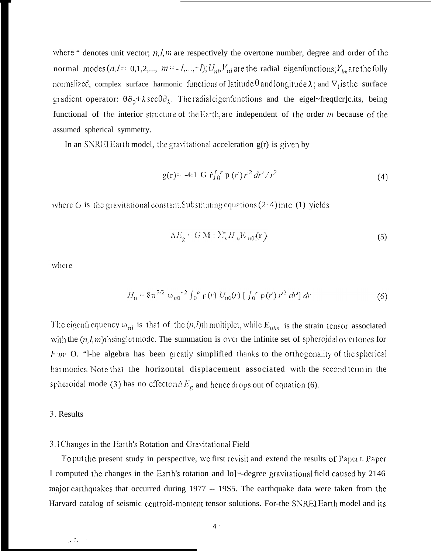where " denotes unit vector;  $n, l, m$  are respectively the overtone number, degree and order of the normal modes  $(n, l = 0, 1, 2, ..., m = -l, ..., -l)$ ;  $U_{n,l}V_{nl}$  are the radial eigenfunctions;  $Y_{lm}$  are the fully normalized, complex surface harmonic functions of latitude  $\theta$  and longitude  $\lambda$ ; and  $V_1$  is the surface gradient operator:  $\theta \partial_{\theta} + \lambda \sec \theta \partial_{\lambda}$ . The radial eigenfunctions and the eigel-frequencies, being functional of the interior structure of the Earth, are independent of the order  $m$  because of the assumed spherical symmetry.

In an SNREIE arth model, the gravitational acceleration  $g(r)$  is given by

$$
g(r) = -4:1 G \hat{r} \int_0^r p(r') r'^2 dr' / r^2
$$
 (4)

where G is the gravitational constant Substituting equations  $(2-4)$  into (1) yields

$$
\Delta E_g = G \mathbf{M} : \Sigma_n^* H_n \mathbf{E}_{n0}(\mathbf{r})
$$
 (5)

where

$$
H_n = 8\pi^{3/2} \omega_{n0}^{-2} \int_0^a \rho(r) U_{n0}(r) \left[ \int_0^r \rho(r') r'^2 dr' \right] dr \tag{6}
$$

The eigenfi equency  $\omega_{nl}$  is that of the  $(n, l)$ th multiplet, while  $E_{nlm}$  is the strain tensor associated with the  $(n, l, m)$ th singlet mode. The summation is over the infinite set of spheroidal overtones for  $l<sub>1</sub>$  o. "I-he algebra has been greatly simplified thanks to the orthogonality of the spherical harmonics. Note that the horizontal displacement associated with the second term in the spheroidal mode (3) has no effector  $\Delta E_g$  and hence drops out of equation (6).

### 3. Results

### 3.1 Changes in the Earth's Rotation and Gravitational Field

To put the present study in perspective, we first revisit and extend the results of Paper I. Paper I computed the changes in the Earth's rotation and lo]~-degree gravitational field caused by 2146 major carthquakes that occurred during 1977 -- 19S5. The earthquake data were taken from the Harvard catalog of seismic centroid-moment tensor solutions. For-the SNREIEarth model and its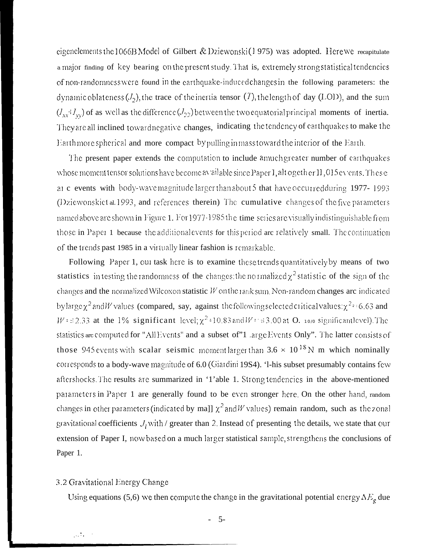eigenelements the 1066B Model of Gilbert & Dziewonski(1975) was adopted. Here we recapitulate a major finding of key bearing on the present study. That is, extremely strong statistical tendencies of non-randomness were found in the earthquake-induced changes in the following parameters: the dynamic oblateness  $(J_2)$ , the trace of the inertia tensor (7), the length of day (LOD), and the sum  $(I_{xx} \cdot I_{yy})$  of as well as the difference  $(I_{22})$  between the two equatorial principal moments of inertia. They are all inclined toward negative changes, indicating the tendency of carthquakes to make the Earthmore spherical and more compact by pulling inmass toward the interior of the Earth.

The present paper extends the computation to include amuch greater number of earthquakes whose moment tensor solutions have become available since Paper I, altogether 11,015 events. These at c events with body-wave magnitude larger than about 5 that have occurred during 1977-1993 (Dziewonskiet al. 1993, and references therein) The cumulative changes of the five parameters named above are shown in Figure 1. For 1977-1985 the time series are visually indistinguishable from those in Paper 1 because the additional events for this period are relatively small. The continuation of the trends past 1985 in a virtually linear fashion is remarkable.

Following Paper 1, our task here is to examine these trends quantitatively by means of two statistics in testing the randomness of the changes; the normalized  $\chi^2$  statistic of the sign of the changes and the normalized Wilcoxon statistic  $W$  on the rank sum. Non-random changes arc indicated by large  $\chi^2$  and *W* values (compared, say, against the following selected critical values:  $\chi^2 = 6.63$  and  $W = 2.33$  at the 1% significant level;  $\chi^2 = 10.83$  and  $W = 3.00$  at O. 100 significant level). The statistics are computed for "All Events" and a subset of"1 large Events Only". The latter consists of those 945 events with scalar seismic moment larger than  $3.6 \times 10^{18}$  N m which nominally corresponds to a body-wave magnitude of 6.0 (Giardini 19S4). '1-his subset presumably contains few aftershocks. The results are summarized in '1'able 1. Strong tendencies in the above-mentioned parameters in Paper 1 are generally found to be even stronger here. On the other hand, random changes in other parameters (indicated by ma]]  $\chi^2$  and W values) remain random, such as the zonal gravitational coefficients  $J_l$  with / greater than 2. Instead of presenting the details, we state that our extension of Paper I, now based on a much larger statistical sample, strengthens the conclusions of Paper 1.

### 3.2 Gravitational Energy Change

 $\sim 10$ 

Using equations (5,6) we then compute the change in the gravitational potential energy  $\Delta E_g$  due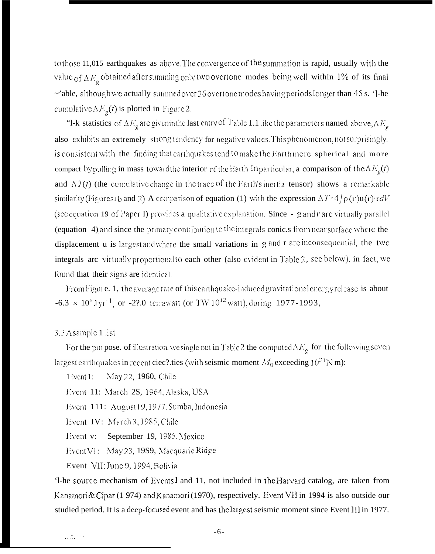to those 11,015 earthquakes as above. The convergence of the summation is rapid, usually with the value of  $\Delta E_e$  obtained after summing only two overtone modes being well within 1% of its final  $\sim$ 'able, although we actually summed over 26 overtone modes having periods longer than 45 s. ']-he cumulative  $\Delta E_g(t)$  is plotted in Figure 2.

"I-k statistics of  $\Delta E_g$  are given in the last entry of T able 1.1 like the parameters named above,  $\Delta E_g$ also exhibits an extremely strong tendency for negative values. This phenomenon, not surprisingly, is consistent with the finding that earthquakes tend to make the Earth more spherical and more compact by pulling in mass toward the interior of the Earth. In particular, a comparison of the  $\Delta E_g(t)$ and  $\Delta T(t)$  (the cumulative change in the trace of the Earth's inertia tensor) shows a remarkable similarity (Figures 1b and 2). A comparison of equation (1) with the expression  $\Delta T = 4 \int \rho(r) u(r) r dV$ (see equation 19 of Paper I) provides a qualitative explanation. Since - g and r are virtually parallel (equation 4) and since the primary contribution to the integrals conic s from near surface where the displacement u is largest and where the small variations in g and r are inconsequential, the two integrals are virtually proportional to each other (also evident in Table 2, see below), in fact, we found that their signs are identical.

From Figure. 1, the average rate of this earthquake-induced gravitational energy release is about  $-6.3 \times 10^{19}$  Jyr<sup>-1</sup>, or -2?.0 terrawatt (or TW<sup>-1012</sup> watt), during 1977-1993,

### 3.3 A sample 1 ist

For the purpose, of illustration, we single out in Table 2 the computed  $\Delta E_g$  for the following seven largest carthquakes in recent ciec? ties (with seismic moment  $M_0$  exceeding 10<sup>21</sup> N m):

May 22, 1960, Chile  $1$  went  $1$ :

Event 11: March 2S, 1964, Alaska, USA

Event 111: August 19, 1977, Sumba, Indonesia

Event IV: March 3, 1985, Chile

Event v: September 19, 1985, Mexico

Event VI: May 23, 1989, Macquarie Ridge

Event VII: June 9, 1994, Bolivia

'l-he source mechanism of Events I and 11, not included in the Harvard catalog, are taken from Kanamori & Cipar (1974) and Kanamori (1970), respectively. Event VII in 1994 is also outside our studied period. It is a deep-focused event and has the largest seismic moment since Event III in 1977.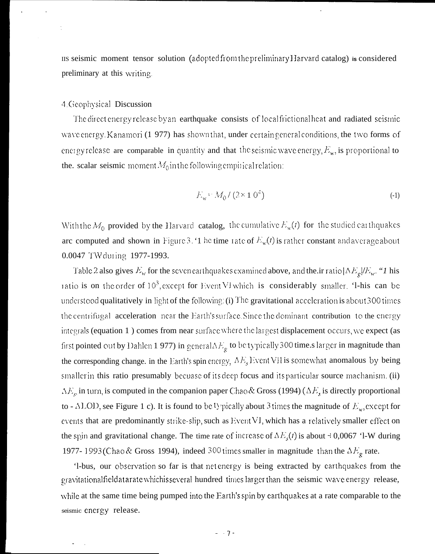IIS seismic moment tensor solution (adopted from the preliminary Harvard catalog) is considered preliminary at this writing.

### 4 Geophysical Discussion

The direct energy release by an earthquake consists of local frictional heat and radiated seismic wave energy. Kanamori (1 977) has shown that, under certain general conditions, the two forms of energy release are comparable in quantity and that the seismic wave energy,  $E_{\mu}$ , is proportional to the. scalar seismic moment  $M_0$  in the following empirical relation:

$$
E_w = M_0 / (2 \times 10^4) \tag{4}
$$

With the  $M_0$  provided by the Harvard catalog, the cumulative  $E_w(t)$  for the studied carthquakes are computed and shown in Figure 3. '1 he time rate of  $E_w(t)$  is rather constant and average about 0.0047 TW during 1977-1993.

Table 2 also gives  $E_w$  for the seven carthquakes examined above, and the ir ratio  $|\Delta E_g/E_w$ . "I his ratio is on the order of 10<sup>3</sup>, except for Event VI which is considerably smaller. '1-his can be understood qualitatively in light of the following. (i) The gravitational acceleration is about 300 times the centrifugal acceleration near the Earth's surface. Since the dominant contribution to the energy integrals (equation 1) comes from near surface where the largest displacement occurs, we expect (as first pointed out by Dahlen 1 977) in general  $\Delta E_g$  to be typically 300 time.s larger in magnitude than the corresponding change, in the Earth's spin energy,  $\Delta E_s$  Event VII is somewhat anomalous by being smaller in this ratio presumably becuase of its deep focus and its particular source machanism. (ii)  $\Delta E_s$  in turn, is computed in the companion paper Chao & Gross (1994) ( $\Delta E_s$  is directly proportional to - ALOD, see Figure 1 c). It is found to be 1) pically about 3 times the magnitude of  $E<sub>ss</sub>$ , except for events that are predominantly strike-slip, such as Event VI, which has a relatively smaller effect on the spin and gravitational change. The time rate of increase of  $\Delta E_s(t)$  is about  $\pm 0.0067$  'l-W during 1977-1993(Chao & Gross 1994), indeed 300 times smaller in magnitude than the  $\Delta E_g$  rate.

'l-bus, our observation so far is that net energy is being extracted by earthquakes from the gravitationalfieldatarate whichisseveral hundred times larger than the seismic wave energy release, while at the same time being pumped into the Earth's spin by earthquakes at a rate comparable to the seismic energy release.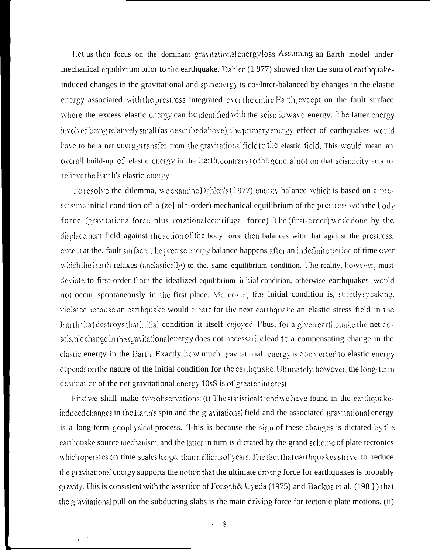Let us then focus on the dominant gravitational energy loss. Assuming an Earth model under mechanical equilibrium prior to the earthquake, Dahlen (1977) showed that the sum of earthquakeinduced changes in the gravitational and spin energy is co~Inter-balanced by changes in the elastic energy associated with the prestress integrated over the entire Earth, except on the fault surface where the excess elastic energy can be identified with the seismic wave energy. The latter energy involved being relatively small (as described above), the primary energy effect of earthquakes would have to be a net energy transfer from the gravitational field to the elastic field. This would mean an overall build-up of elastic energy in the Earth, contrary to the general notion that seismicity acts to relieve the Earth's elastic energy.

To resolve the dilemma, we examine Dahlen's (1977) energy balance which is based on a preseismic initial condition of a (ze]-olh-order) mechanical equilibrium of the prestress with the body force (gravitational force plus rotational centrifugal force) The (first-order) work done by the displacement field against the action of the body force then balances with that against the prestress, except at the, fault surface. The precise energy balance happens after an indefinite period of time over which the Earth relaxes (anelastically) to the. same equilibrium condition. The reality, however, must deviate to first-order from the idealized equilibrium initial condition, otherwise earthquakes would not occur spontaneously in the first place. Moreover, this initial condition is, strictly speaking, violated because an earthquake would create for the next earthquake an elastic stress field in the Earth that destroys that initial condition it itself enjoyed. I'bus, for a given earthquake the net coseismic change in the egavitational energy does not necessarily lead to a compensating change in the clastic energy in the Earth. Exactly how much gravitational energy is converted to elastic energy depends on the nature of the initial condition for the carthquake. Ultimately, however, the long-term destination of the net gravitational energy 10sS is of greater interest.

First we shall make two observations: (i) The statistical trend we have found in the earthquakeinduced changes in the Earth's spin and the gravitational field and the associated gravitational energy is a long-term geophysical process. '1-his is because the sign of these changes is dictated by the earthquake source mechanism, and the latter in turn is dictated by the grand scheme of plate tectonics which operates on time scales longer than millions of years. The fact that earthquakes strive to reduce the gravitational energy supports the notion that the ultimate driving force for earthquakes is probably gravity. This is consistent with the assertion of Forsyth & Uyeda (1975) and Backus et al. (1981) that the gravitational pull on the subducting slabs is the main driving force for tectonic plate motions. (ii)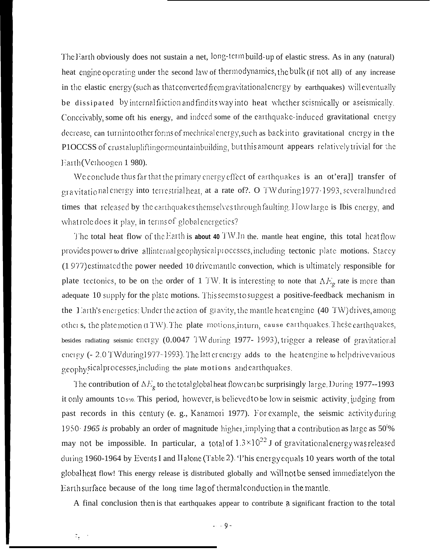The Earth obviously does not sustain a net, long-term build-up of elastic stress. As in any (natural) heat engine operating under the second law of thermodynamics, the bulk (if not all) of any increase in the elastic energy (such as that converted from gravitational energy by earthquakes) will eventually be dissipated by internal friction and find its way into heat whether scismically or aseismically. Conceivably, some oft his energy, and indeed some of the earthquake-induced gravitational energy decrease, can turninto other forms of mechnical energy, such as back into gravitational energy in the PIOCCSS of crustaluplifting or mountainbuilding, but this amount appears relatively trivial for the Earth (Veihoogen 1980).

We conclude thus far that the primary energy effect of earthquakes is an ot'erall transfer of gravitational energy into terrestrial heat, at a rate of?. O TW during 1977-1993, several hundred times that released by the earthquakes themselves through faulting. How large is Ibis energy, and what role does it play, in terms of global energetics?

The total heat flow of the Earth is about 40 TW.In the, mantle heat engine, this total heat flow provides power to drive allinternal geophysical processes, including tectonic plate motions. Stacey (1977) estimated the power needed 10 drivemantle convection, which is ultimately responsible for plate tectonics, to be on the order of 1 TW. It is interesting to note that  $\Delta E_g$  rate is more than adequate 10 supply for the plate motions. This seems to suggest a positive-feedback mechanism in the Earth's energetics: Under the action of  $g_1$  avity, the mantle heat engine (40 TW) drives, among other s, the platemotion (1 TW). The plate motions, inturn, cause carthquakes. These earthquakes, besides radiating seismic energy (0.0047 TW during 1977-1993), trigger a release of gravitational energy (- 2.0 TW during 1977-1993). The latt energy adds to the heatengine to help drive various geophysicalprocesses, including the plate motions and carthquakes.

The contribution of  $\Delta E_g$  to the total global heat flow can be surprisingly large. During 1977--1993 it only amounts tos<sub>"</sub>. This period, however, is believed to be low in seismic activity judging from past records in this century (e. g., Kanamori 1977). For example, the seismic activity during 1950–1965 is probably an order of magnitude higher, implying that a contribution as large as  $50\%$ may not be impossible. In particular, a total of  $1.3 \times 10^{22}$  J of gravitational energy was released during 1960-1964 by Events I and II alone (Table 2). This energy equals 10 years worth of the total global heat flow! This energy release is distributed globally and will not be sensed immediately on the Earth surface because of the long time lag of thermal conduction in the mantle.

A final conclusion then is that earthquakes appear to contribute a significant fraction to the total

 $\mathcal{L}_{\rm{max}}$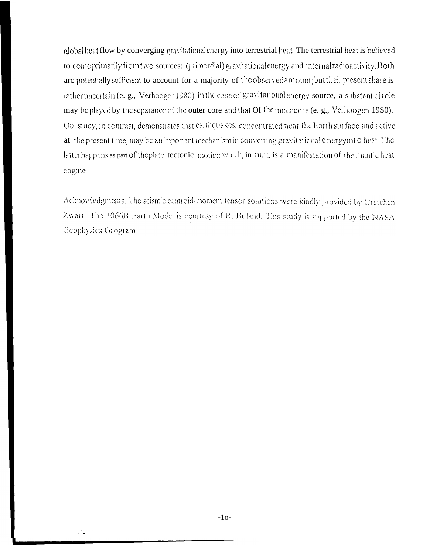global heat flow by converging gravitational energy into terrestrial heat. The terrestrial heat is believed to come primarily from two sources: (primordial) gravitational energy and internal radioactivity. Both are potentially sufficient to account for a majority of the observed amount; but their present share is rather uncertain (e. g., Verhoogen1980). In the case of gravitational energy source, a substantial tole may be played by the separation of the outer core and that Of the inner core (e. g., Verhoogen 1980). Our study, in contrast, demonstrates that earthquakes, concentrated near the Earth surface and active at the present time, may be an important mechanism in converting gravitational energy into heat. The latter happens as part of the plate tectonic motion which, in turn, is a manifestation of the mantle heat engine.

Acknowledgments. The seismic centroid-moment tensor solutions were kindly provided by Gretchen Zwart. The 1066B Earth Model is courtesy of R. Buland. This study is supported by the NASA Geophysics Grogram.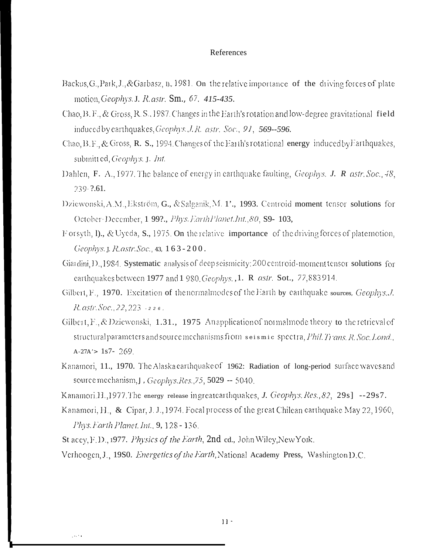### References

- Backus, G., Park, J., & Garbasz, n., 1981. On the relative importance of the driving forces of plate motion, Geophys. J. R. astr. Sm., 67, 415-435.
- Chao, B. F., & Gross, R. S., 1987. Changes in the Earth's rotation and low-degree gravitational field induced by earthquakes, Geophys. J.R. astr. Soc., 91, 569--596.
- Chao, B. F., & Gross, R. S., 1994. Changes of the Earth's rotational energy induced by Earthquakes, submitted, Geophys. J. Int.
- Dahlen, F. A., 1977. The balance of energy in earthquake faulting, Geophys. J. R astr. Soc., 48, 239.2.61.
- Dziewonski, A.M., Ekström, G., & Salganik, M. 1'., 1993. Centroid moment tensor solutions for October-December, 1 99?., Phys. Earth Planet.Int., 80, S9- 103,
- Forsyth, I)., & Uyeda, S., 1975. On the relative importance of the driving forces of platemotion, Geophys. J. R. astr. Soc. 43, 163-200.
- Giardini, D., 1984. Systematic analysis of deep seismicity: 200 centroid-moment tensor solutions for carthquakes between 1977 and 1 980 Geophys., 1. R astr. Sot., 77,883 914.
- Gilbert, F., 1970. Excitation of the normalmodes of the Earth by earthquake sources, Geophys. J.  $R.$  astr. Soc., 22, 223  $-226$ ,
- Gilbert, F., & Dziewonski, 1.31., 1975. Anapplication of normal mode theory to the retrieval of structural parameters and source mechanisms from seismic spectra, Phil. Trans. R. Soc. Lond.,  $A-27A' > 1s7 - 269$
- Kanamori, 11., 1970. The Alaska earthquake of 1962: Radiation of long-period surface waves and source mechanism, J. Geophys. Res., 75, 5029 -- 5040.
- Kanamori.H., 1977. The energy release ingreatearthquakes, J. Geophys. Res., 82, 29s] --29s7.
- Kanamori, H., & Cipar, J. J., 1974. Focal process of the great Chilean earthquake May 22, 1960, Phys. Earth Planet. Int., 9, 128 - 136.
- St accy, F.D., 1977. Physics of the Earth, 2nd ed., John Wiley, New York.

 $\sim 100$ 

Verhoogen, J., 1980. *Energetics of the Earth*, National Academy Press, Washington D.C.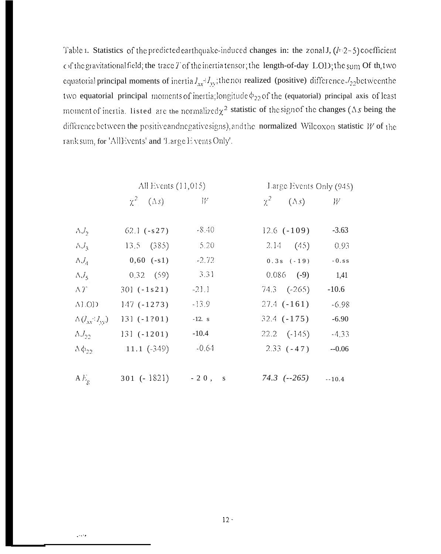Table 1. Statistics of the predicted earthquake-induced changes in: the zonal J,  $(l=2-5)$  coefficient of the gravitational field; the trace T of the inertia tensor; the length-of-day LOD; the sum Of the two equatorial principal moments of inertia  $I_{xx} = I_{yy}$ ; the not realized (positive) difference  $J_{22}$  between the two equatorial principal moments of inertia; longitude  $\phi_{22}$  of the (equatorial) principal axis of least moment of inertia. I isted are the normalized  $\chi^2$  statistic of the sign of the changes (As being the difference between the positive and negative signs), and the normalized Wilcoxon statistic  $W$  of the rank sum, for 'AllEvents' and 'Large E vents Only'.

|                            | All Events $(11,015)$     |          | Large Events Only (945)   |                |  |
|----------------------------|---------------------------|----------|---------------------------|----------------|--|
|                            | $\chi^2 = (\Delta s)$ $W$ |          | $\chi^2$ $(\Delta s)$ $W$ |                |  |
| $\Lambda J_{2}$            | $62.1 (-s27)$             | $-8,40$  | $12.6$ ( $-109$ )         | $-3.63$        |  |
| $\Lambda J_{3}$            | 13.5 (385)                | 5.20     | 2.14(45)                  | 0.93           |  |
| $\Lambda J_A$              | $0,60$ $(-s1)$            | $-2.72$  | $0.3 s (-19)$             | $\sim 0$ . s s |  |
| $\Delta J_{5}$             | $0.32$ (59)               | $-3.31$  | $0.086$ (-9)              | 1,41           |  |
| $\Delta T$                 | $301 (-1 s21)$            | $-211$   | $74.3$ $(-265)$           | $-10.6$        |  |
| ALOD                       | $147(-1273)$              | $-13.9$  | $27.4$ ( $-161$ )         | $-6.98$        |  |
| $\Delta (J_{xx} / J_{yy})$ | $131 (-1201)$             | $-12. s$ | $32.4$ $(-175)$           | $-6.90$        |  |
| $\Lambda J_{22}$           | $131 (+1201)$             | $-10.4$  | $22.2$ $(-145)$           | $-4.33$        |  |
| $\Delta \phi_{22}$         | $11.1 \ (-349)$           | $-0.64$  | $2.33(-47)$               | $-0.06$        |  |
|                            |                           |          |                           |                |  |
| $AE_{\rho}$                | $301 (-1821) -20$ , s     |          | $74.3$ $(-265)$ $-10.4$   |                |  |

 $\sim$   $\sim$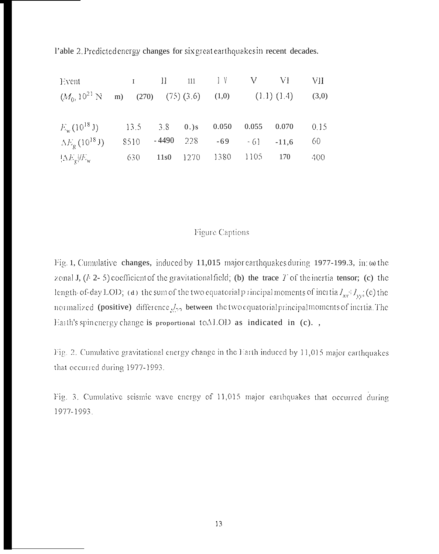l'able 2. Predictedenergy changes for six greatearthquakes in recent decades.

| Event I II 111 IV V VI VII                                    |  |  |  |                                 |        |
|---------------------------------------------------------------|--|--|--|---------------------------------|--------|
| $(M0, 1021 N m)$ (270) (75) (3.6) (1,0) (1.1) (1.4) (3,0)     |  |  |  |                                 |        |
| $E_w(10^{18} \text{ J})$ 13.5 3.8 0.)s 0.050 0.055 0.070 0.15 |  |  |  |                                 |        |
| $\Delta E_{\rho}$ (10 <sup>18</sup> J)                        |  |  |  | $8510 - 4490$ 228 -69 -61 -11,6 | 60     |
| $\frac{1}{2} \Delta E_g / E_w$ 630 11s0 1270 1380 1105 170    |  |  |  |                                 | -400 - |

# Figure Captions

Fig. 1, Cumulative changes, induced by 11,015 major earthquakes during 1977-199.3, in: (a) the zonal J,  $(l<sup>2</sup>-5)$  coefficient of the gravitational field; (b) the trace T of the inertia tensor; (c) the length-of-day LOD; (d) the sum of the two equatorial p incipal moments of inertia  $I_{xx}$ <sup>:</sup>  $I_{yy}$ ; (e) the normalized (positive) difference  $J_{22}$  between the two equatorial principal moments of inertia. The Earth's spin energy change is proportional toALOD as indicated in (c).,

Fig. 2. Cumulative gravitational energy change in the Earth induced by 11,015 major earthquakes that occurred during 1977-1993.

Fig. 3. Cumulative seismic wave energy of 11,015 major earthquakes that occurred during 1977-1993.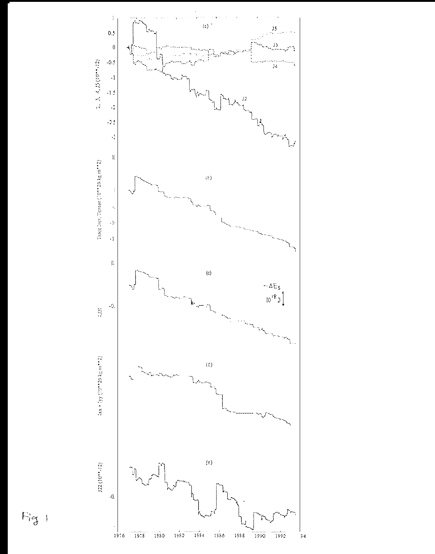

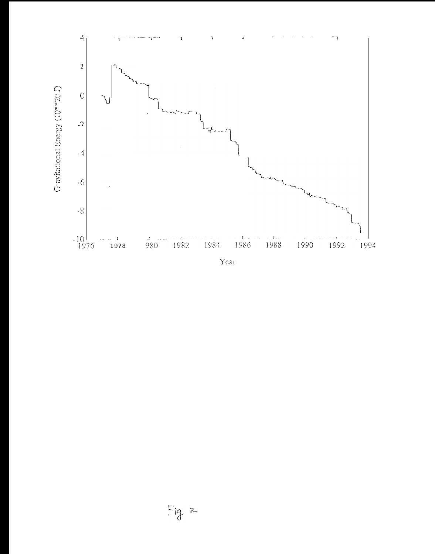

Year